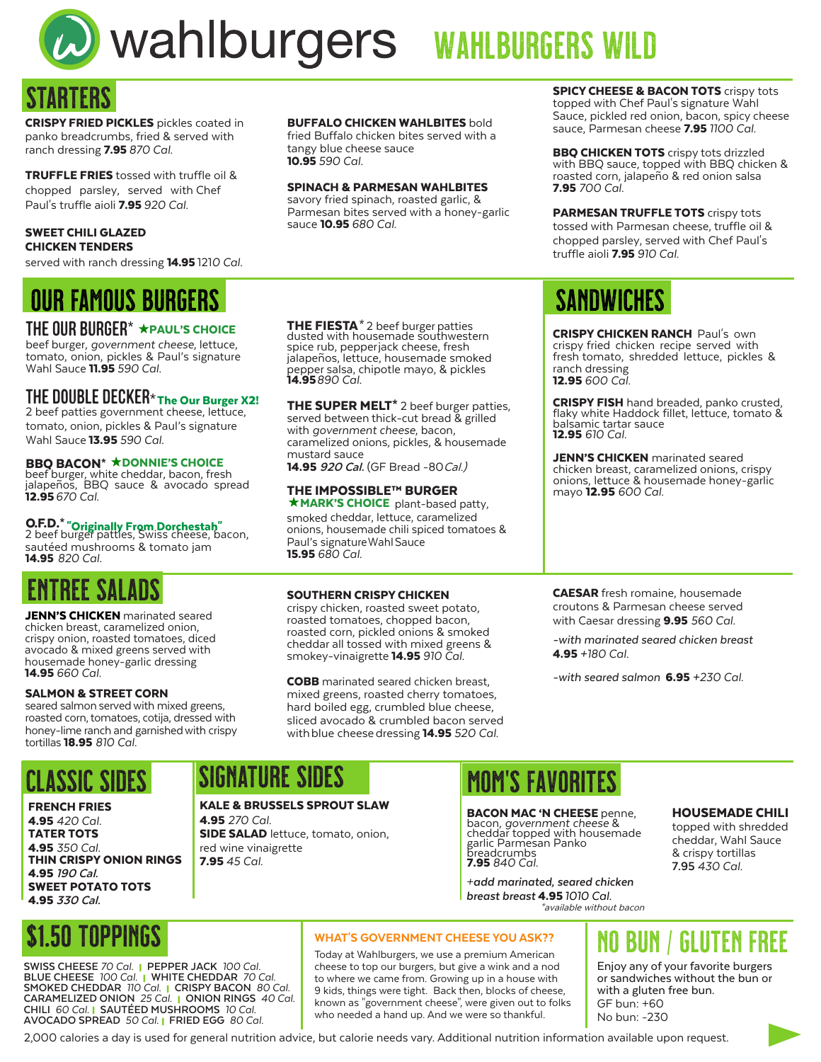

# Wahlburgers WAHLBURGERS WILD

## TARTFRS

CRISPY FRIED PICKLES pickles coated in panko breadcrumbs, fried & served with ranch dressing 7.95 *870 Cal.* 

TRUFFLE FRIES tossed with truffle oil & chopped parsley, served with Chef Paul's truffle aioli 7.95 *920 Cal.*

#### SWEET CHILI GLAZED CHICKEN TENDERS

served with ranch dressing 14.95 121*0 Cal.*

### OUR FAMOUS BURGERS SANDWICHES

### THE OUR BURGER $* \star$ paul's choice

beef burger, *government cheese,* lettuce, tomato, onion, pickles & Paul's signature Wahl Sauce 11.95 *590 Cal.*

### THE DOUBLE DECKER\* The Our Burger X2!

2 beef patties government cheese, lettuce, tomato, onion, pickles & Paul's signature Wahl Sauce 13.95 *590 Cal.*

### BBQ BACON\* **\*** DONNIE'S CHOICE

beef burger, white cheddar, bacon, fresh jalapeños, BBQ sauce & avocado spread 12.95 *670 Cal.* 

**O.F.D.\* "Originally From Dorchestah"**<br>2 beef burger patties, Swiss cheese, bacon, sautéed mushrooms & tomato jam 14.95 *820 Cal.* 

### **ENTREE SALA**

JENN'S CHICKEN marinated seared chicken breast, caramelized onion, crispy onion, roasted tomatoes, diced avocado & mixed greens served with housemade honey-garlic dressing 14.95 *660 Cal.*

#### SALMON & STREET CORN

seared salmon served with mixed greens, roasted corn, tomatoes, cotija, dressed with honey-lime ranch and garnished with crispy tortillas 18.95 *810 Cal.*

### FRENCH FRIES 4.95 *420 Cal.* TATER TOTS

4.95 *350 Cal.* THIN CRISPY ONION RINGS 4.95 **190 Cal.** SWEET POTATO TOTS 4.95 **330 Cal.**

### BUFFALO CHICKEN WAHLBITES bold

fried Buffalo chicken bites served with a tangy blue cheese sauce 10.95 *590 Cal.*

#### SPINACH & PARMESAN WAHLBITES

savory fried spinach, roasted garlic, & Parmesan bites served with a honey-garlic sauce 10.95 *680 Cal.*

THE FIESTA**\*** 2 beef burger patties dusted with housemade southwestern spice rub, pepper jack cheese, fresh jalapeños, lettuce, housemade smoked pepper salsa, chipotle mayo, & pickles 14.95*890 Cal.*

THE SUPER MELT<sup>\*</sup> 2 beef burger patties, served between thick-cut bread & grilled with *government cheese*, bacon, caramelized onions, pickles, & housemade mustard sauce

14.95 920 Cal. (GF Bread -80 Cal.)

#### **\* MARK'S CHOICE** plant-based patty, smoked cheddar, lettuce, caramelized THE IMPOSSIBLE™ BURGER

onions, housemade chili spiced tomatoes & Paul's signature Wahl Sauce 15.95 6*80 Cal.*

#### **SOUTHERN CRISPY CHICKEN**

crispy chicken, roasted sweet potato, roasted tomatoes, chopped bacon, roasted corn, pickled onions & smoked cheddar all tossed with mixed greens & smokey-vinaigrette 14.95 *910 Cal.* 

COBB marinated seared chicken breast, mixed greens, roasted cherry tomatoes, hard boiled egg, crumbled blue cheese, sliced avocado & crumbled bacon served with blue cheese dressing 14.95 *520 Cal.*

**SPICY CHEESE & BACON TOTS** crispy tots topped with Chef Paul's signature Wahl Sauce, pickled red onion, bacon, spicy cheese sauce, Parmesan cheese 7.95 *1100 Cal.*

**BBQ CHICKEN TOTS** crispy tots drizzled with BBQ sauce, topped with BBQ chicken & roasted corn, jalapeño & red onion salsa 7.95 *700 Cal.*

PARMESAN TRUFFLE TOTS crispy tots tossed with Parmesan cheese, truffle oil & chopped parsley, served with Chef Paul's truffle aioli 7.95 *910 Cal.*

**CRISPY CHICKEN RANCH Paul's own** crispy fried chicken recipe served with fresh tomato, shredded lettuce, pickles & ranch dressing 12.95 600 Cal.

**CRISPY FISH** hand breaded, panko crusted, flaky white Haddock fillet, lettuce, tomato & balsamic tartar sauce 12.95 *610 Cal.*

JENN'S CHICKEN marinated seared chicken breast, caramelized onions, crispy onions, lettuce & housemade honey-garlic mayo 12.95 *600 Cal*.

CAESAR fresh romaine, housemade croutons & Parmesan cheese served with Caesar dressing 9.95 *560 Cal.*

-*with marinated seared chicken breast* 4.95 *+180 Cal.*

-*with seared salmon* 6.95 *+230 Cal.*

## CLASSIC SIDES SIGNATURE SIDES MOM'S FAVORITES

KALE & BRUSSELS SPROUT SLAW 4.95 *270 Cal.* SIDE SALAD lettuce, tomato, onion, red wine vinaigrette 7.95 *45 Cal.*

**BACON MAC 'N CHEESE** penne, bacon, *government cheese* & cheddar topped with housemade garlic Parmesan Panko breadcrumbs 7.95 *840 Cal.*

*+***add marinated, seared chicken breast breast** 4.95 *1010 Cal.* **1.95** IOIO Cal.<br>\*available without bacon

#### HOUSEMADE CHILI

topped with shredded cheddar, Wahl Sauce & crispy tortillas **7.95** *430 Cal.*

## \$1.50 Toppings

**SWISS CHEESE** *70 Cal.* l **PEPPER JACK** *100 Cal.* **BLUE CHEESE** *100 Cal.* l **WHITE CHEDDAR** *70 Cal.* **SMOKED CHEDDAR** *110 Cal.* l **CRISPY BACON** *80 Cal.* **CARAMELIZED ONION** *25 Cal.* l **ONION RINGS** *40 Cal.* **CHILI** *60 Cal.* l **SAUTÉED MUSHROOMS** *10 Cal.* **AVOCADO SPREAD** *50 Cal.* l **FRIED EGG** *80 Cal.*

### WHAT'S GOVERNMENT CHEESE YOU ASK??

Today at Wahlburgers, we use a premium American cheese to top our burgers, but give a wink and a nod to where we came from. Growing up in a house with 9 kids, things were tight. Back then, blocks of cheese, known as "government cheese", were given out to folks who needed a hand up. And we were so thankful.

## no bun / gluten free

Enjoy any of your favorite burgers or sandwiches without the bun or with a gluten free bun. GF bun: +60 No bun: -230

2,000 calories a day is used for general nutrition advice, but calorie needs vary. Additional nutrition information available upon request.